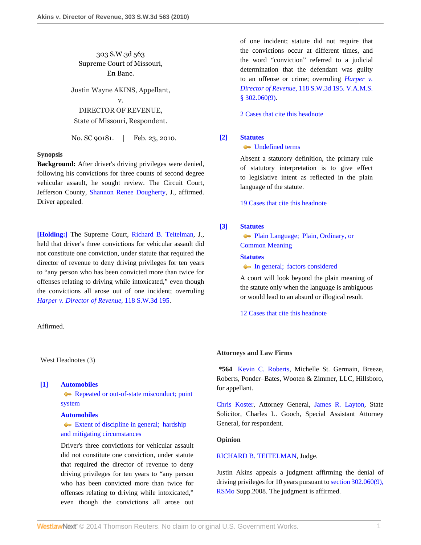303 S.W.3d 563 Supreme Court of Missouri, En Banc.

Justin Wayne AKINS, Appellant, v. DIRECTOR OF REVENUE, State of Missouri, Respondent.

No. SC 90181. | Feb. 23, 2010.

# **Synopsis**

**Background:** After driver's driving privileges were denied, following his convictions for three counts of second degree vehicular assault, he sought review. The Circuit Court, Jefferson County, [Shannon Renee Dougherty,](http://www.westlaw.com/Link/Document/FullText?findType=h&pubNum=176284&cite=0392584301&originatingDoc=I68d62f88212811df8bf6cd8525c41437&refType=RQ&originationContext=document&vr=3.0&rs=cblt1.0&transitionType=DocumentItem&contextData=(sc.Search)) J., affirmed. Driver appealed.

**[\[Holding:\]](#page-0-0)** The Supreme Court, [Richard B. Teitelman](http://www.westlaw.com/Link/Document/FullText?findType=h&pubNum=176284&cite=0176381201&originatingDoc=I68d62f88212811df8bf6cd8525c41437&refType=RQ&originationContext=document&vr=3.0&rs=cblt1.0&transitionType=DocumentItem&contextData=(sc.Search)), J., held that driver's three convictions for vehicular assault did not constitute one conviction, under statute that required the director of revenue to deny driving privileges for ten years to "any person who has been convicted more than twice for offenses relating to driving while intoxicated," even though the convictions all arose out of one incident; overruling *[Harper v. Director of Revenue,](http://www.westlaw.com/Link/Document/FullText?findType=Y&serNum=2003598237&pubNum=4644&originationContext=document&vr=3.0&rs=cblt1.0&transitionType=DocumentItem&contextData=(sc.Search))* 118 S.W.3d 195.

#### Affirmed.

West Headnotes (3)

#### <span id="page-0-0"></span>**[\[1\]](#page-1-0) [Automobiles](http://www.westlaw.com/Browse/Home/KeyNumber/48A/View.html?docGuid=I68d62f88212811df8bf6cd8525c41437&originationContext=document&vr=3.0&rs=cblt1.0&transitionType=DocumentItem&contextData=(sc.Search))**

[Repeated or out-of-state misconduct; point](http://www.westlaw.com/Browse/Home/KeyNumber/48Ak144.1(3)/View.html?docGuid=I68d62f88212811df8bf6cd8525c41437&originationContext=document&vr=3.0&rs=cblt1.0&transitionType=DocumentItem&contextData=(sc.Search)) [system](http://www.westlaw.com/Browse/Home/KeyNumber/48Ak144.1(3)/View.html?docGuid=I68d62f88212811df8bf6cd8525c41437&originationContext=document&vr=3.0&rs=cblt1.0&transitionType=DocumentItem&contextData=(sc.Search))

### **[Automobiles](http://www.westlaw.com/Browse/Home/KeyNumber/48A/View.html?docGuid=I68d62f88212811df8bf6cd8525c41437&originationContext=document&vr=3.0&rs=cblt1.0&transitionType=DocumentItem&contextData=(sc.Search))**

[Extent of discipline in general; hardship](http://www.westlaw.com/Browse/Home/KeyNumber/48Ak144.5/View.html?docGuid=I68d62f88212811df8bf6cd8525c41437&originationContext=document&vr=3.0&rs=cblt1.0&transitionType=DocumentItem&contextData=(sc.Search)) [and mitigating circumstances](http://www.westlaw.com/Browse/Home/KeyNumber/48Ak144.5/View.html?docGuid=I68d62f88212811df8bf6cd8525c41437&originationContext=document&vr=3.0&rs=cblt1.0&transitionType=DocumentItem&contextData=(sc.Search))

Driver's three convictions for vehicular assault did not constitute one conviction, under statute that required the director of revenue to deny driving privileges for ten years to "any person who has been convicted more than twice for offenses relating to driving while intoxicated," even though the convictions all arose out of one incident; statute did not require that the convictions occur at different times, and the word "conviction" referred to a judicial determination that the defendant was guilty to an offense or crime; overruling *[Harper v.](http://www.westlaw.com/Link/Document/FullText?findType=Y&serNum=2003598237&pubNum=4644&originationContext=document&vr=3.0&rs=cblt1.0&transitionType=DocumentItem&contextData=(sc.Search)) [Director of Revenue,](http://www.westlaw.com/Link/Document/FullText?findType=Y&serNum=2003598237&pubNum=4644&originationContext=document&vr=3.0&rs=cblt1.0&transitionType=DocumentItem&contextData=(sc.Search))* 118 S.W.3d 195. [V.A.M.S.](http://www.westlaw.com/Link/Document/FullText?findType=L&pubNum=1000229&cite=MOST302.060&originatingDoc=I68d62f88212811df8bf6cd8525c41437&refType=LQ&originationContext=document&vr=3.0&rs=cblt1.0&transitionType=DocumentItem&contextData=(sc.Search)) [§ 302.060\(9\)](http://www.westlaw.com/Link/Document/FullText?findType=L&pubNum=1000229&cite=MOST302.060&originatingDoc=I68d62f88212811df8bf6cd8525c41437&refType=LQ&originationContext=document&vr=3.0&rs=cblt1.0&transitionType=DocumentItem&contextData=(sc.Search)).

[2 Cases that cite this headnote](http://www.westlaw.com/Link/RelatedInformation/DocHeadnoteLink?docGuid=I68d62f88212811df8bf6cd8525c41437&headnoteId=202141462300120130227042207&originationContext=document&vr=3.0&rs=cblt1.0&transitionType=CitingReferences&contextData=(sc.Search))

# <span id="page-0-1"></span>**[\[2\]](#page-1-1) [Statutes](http://www.westlaw.com/Browse/Home/KeyNumber/361/View.html?docGuid=I68d62f88212811df8bf6cd8525c41437&originationContext=document&vr=3.0&rs=cblt1.0&transitionType=DocumentItem&contextData=(sc.Search))**

### [Undefined terms](http://www.westlaw.com/Browse/Home/KeyNumber/361k1123/View.html?docGuid=I68d62f88212811df8bf6cd8525c41437&originationContext=document&vr=3.0&rs=cblt1.0&transitionType=DocumentItem&contextData=(sc.Search))

Absent a statutory definition, the primary rule of statutory interpretation is to give effect to legislative intent as reflected in the plain language of the statute.

[19 Cases that cite this headnote](http://www.westlaw.com/Link/RelatedInformation/DocHeadnoteLink?docGuid=I68d62f88212811df8bf6cd8525c41437&headnoteId=202141462300220130227042207&originationContext=document&vr=3.0&rs=cblt1.0&transitionType=CitingReferences&contextData=(sc.Search))

# <span id="page-0-2"></span>**[\[3\]](#page-1-2) [Statutes](http://www.westlaw.com/Browse/Home/KeyNumber/361/View.html?docGuid=I68d62f88212811df8bf6cd8525c41437&originationContext=document&vr=3.0&rs=cblt1.0&transitionType=DocumentItem&contextData=(sc.Search))**

[Plain Language; Plain, Ordinary, or](http://www.westlaw.com/Browse/Home/KeyNumber/361III(B)/View.html?docGuid=I68d62f88212811df8bf6cd8525c41437&originationContext=document&vr=3.0&rs=cblt1.0&transitionType=DocumentItem&contextData=(sc.Search)) [Common Meaning](http://www.westlaw.com/Browse/Home/KeyNumber/361III(B)/View.html?docGuid=I68d62f88212811df8bf6cd8525c41437&originationContext=document&vr=3.0&rs=cblt1.0&transitionType=DocumentItem&contextData=(sc.Search))

# **[Statutes](http://www.westlaw.com/Browse/Home/KeyNumber/361/View.html?docGuid=I68d62f88212811df8bf6cd8525c41437&originationContext=document&vr=3.0&rs=cblt1.0&transitionType=DocumentItem&contextData=(sc.Search))**

• [In general; factors considered](http://www.westlaw.com/Browse/Home/KeyNumber/361k1104/View.html?docGuid=I68d62f88212811df8bf6cd8525c41437&originationContext=document&vr=3.0&rs=cblt1.0&transitionType=DocumentItem&contextData=(sc.Search))

A court will look beyond the plain meaning of the statute only when the language is ambiguous or would lead to an absurd or illogical result.

[12 Cases that cite this headnote](http://www.westlaw.com/Link/RelatedInformation/DocHeadnoteLink?docGuid=I68d62f88212811df8bf6cd8525c41437&headnoteId=202141462300320130227042207&originationContext=document&vr=3.0&rs=cblt1.0&transitionType=CitingReferences&contextData=(sc.Search))

#### **Attorneys and Law Firms**

**\*564** [Kevin C. Roberts,](http://www.westlaw.com/Link/Document/FullText?findType=h&pubNum=176284&cite=0109976601&originatingDoc=I68d62f88212811df8bf6cd8525c41437&refType=RQ&originationContext=document&vr=3.0&rs=cblt1.0&transitionType=DocumentItem&contextData=(sc.Search)) Michelle St. Germain, Breeze, Roberts, Ponder–Bates, Wooten & Zimmer, LLC, Hillsboro, for appellant.

[Chris Koster,](http://www.westlaw.com/Link/Document/FullText?findType=h&pubNum=176284&cite=0369913201&originatingDoc=I68d62f88212811df8bf6cd8525c41437&refType=RQ&originationContext=document&vr=3.0&rs=cblt1.0&transitionType=DocumentItem&contextData=(sc.Search)) Attorney General, [James R. Layton](http://www.westlaw.com/Link/Document/FullText?findType=h&pubNum=176284&cite=0214930801&originatingDoc=I68d62f88212811df8bf6cd8525c41437&refType=RQ&originationContext=document&vr=3.0&rs=cblt1.0&transitionType=DocumentItem&contextData=(sc.Search)), State Solicitor, Charles L. Gooch, Special Assistant Attorney General, for respondent.

# **Opinion**

### [RICHARD B. TEITELMAN](http://www.westlaw.com/Link/Document/FullText?findType=h&pubNum=176284&cite=0176381201&originatingDoc=I68d62f88212811df8bf6cd8525c41437&refType=RQ&originationContext=document&vr=3.0&rs=cblt1.0&transitionType=DocumentItem&contextData=(sc.Search)), Judge.

Justin Akins appeals a judgment affirming the denial of driving privileges for 10 years pursuant to [section 302.060\(9\),](http://www.westlaw.com/Link/Document/FullText?findType=L&pubNum=1000229&cite=MOST302.060&originatingDoc=I68d62f88212811df8bf6cd8525c41437&refType=LQ&originationContext=document&vr=3.0&rs=cblt1.0&transitionType=DocumentItem&contextData=(sc.Search)) [RSMo](http://www.westlaw.com/Link/Document/FullText?findType=L&pubNum=1000229&cite=MOST302.060&originatingDoc=I68d62f88212811df8bf6cd8525c41437&refType=LQ&originationContext=document&vr=3.0&rs=cblt1.0&transitionType=DocumentItem&contextData=(sc.Search)) Supp.2008. The judgment is affirmed.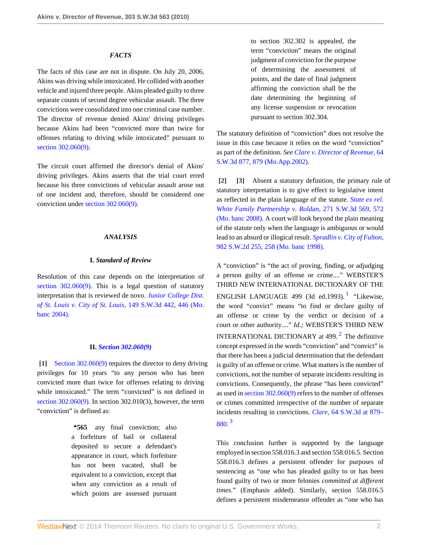## *FACTS*

The facts of this case are not in dispute. On July 20, 2006, Akins was driving while intoxicated. He collided with another vehicle and injured three people. Akins pleaded guilty to three separate counts of second degree vehicular assault. The three convictions were consolidated into one criminal case number. The director of revenue denied Akins' driving privileges because Akins had been "convicted more than twice for offenses relating to driving while intoxicated" pursuant to [section 302.060\(9\).](http://www.westlaw.com/Link/Document/FullText?findType=L&pubNum=1000229&cite=MOST302.060&originatingDoc=I68d62f88212811df8bf6cd8525c41437&refType=LQ&originationContext=document&vr=3.0&rs=cblt1.0&transitionType=DocumentItem&contextData=(sc.Search))

The circuit court affirmed the director's denial of Akins' driving privileges. Akins asserts that the trial court erred because his three convictions of vehicular assault arose out of one incident and, therefore, should be considered one conviction under [section 302.060\(9\).](http://www.westlaw.com/Link/Document/FullText?findType=L&pubNum=1000229&cite=MOST302.060&originatingDoc=I68d62f88212811df8bf6cd8525c41437&refType=LQ&originationContext=document&vr=3.0&rs=cblt1.0&transitionType=DocumentItem&contextData=(sc.Search))

# *ANALYSIS*

### **I.** *Standard of Review*

Resolution of this case depends on the interpretation of [section 302.060\(9\).](http://www.westlaw.com/Link/Document/FullText?findType=L&pubNum=1000229&cite=MOST302.060&originatingDoc=I68d62f88212811df8bf6cd8525c41437&refType=LQ&originationContext=document&vr=3.0&rs=cblt1.0&transitionType=DocumentItem&contextData=(sc.Search)) This is a legal question of statutory interpretation that is reviewed de novo. *[Junior College Dist.](http://www.westlaw.com/Link/Document/FullText?findType=Y&serNum=2005575843&pubNum=4644&fi=co_pp_sp_4644_446&originationContext=document&vr=3.0&rs=cblt1.0&transitionType=DocumentItem&contextData=(sc.Search)#co_pp_sp_4644_446) [of St. Louis v. City of St. Louis,](http://www.westlaw.com/Link/Document/FullText?findType=Y&serNum=2005575843&pubNum=4644&fi=co_pp_sp_4644_446&originationContext=document&vr=3.0&rs=cblt1.0&transitionType=DocumentItem&contextData=(sc.Search)#co_pp_sp_4644_446)* 149 S.W.3d 442, 446 (Mo. [banc 2004\).](http://www.westlaw.com/Link/Document/FullText?findType=Y&serNum=2005575843&pubNum=4644&fi=co_pp_sp_4644_446&originationContext=document&vr=3.0&rs=cblt1.0&transitionType=DocumentItem&contextData=(sc.Search)#co_pp_sp_4644_446)

#### **II.** *[Section 302.060\(9\)](http://www.westlaw.com/Link/Document/FullText?findType=L&pubNum=1000229&cite=MOST302.060&originatingDoc=I68d62f88212811df8bf6cd8525c41437&refType=LQ&originationContext=document&vr=3.0&rs=cblt1.0&transitionType=DocumentItem&contextData=(sc.Search))*

<span id="page-1-0"></span>**[\[1\]](#page-0-0)** [Section 302.060\(9\)](http://www.westlaw.com/Link/Document/FullText?findType=L&pubNum=1000229&cite=MOST302.060&originatingDoc=I68d62f88212811df8bf6cd8525c41437&refType=LQ&originationContext=document&vr=3.0&rs=cblt1.0&transitionType=DocumentItem&contextData=(sc.Search)) requires the director to deny driving privileges for 10 years "to any person who has been convicted more than twice for offenses relating to driving while intoxicated." The term "convicted" is not defined in [section 302.060\(9\).](http://www.westlaw.com/Link/Document/FullText?findType=L&pubNum=1000229&cite=MOST302.060&originatingDoc=I68d62f88212811df8bf6cd8525c41437&refType=LQ&originationContext=document&vr=3.0&rs=cblt1.0&transitionType=DocumentItem&contextData=(sc.Search)) In section 302.010(3), however, the term "conviction" is defined as:

> **\*565** any final conviction; also a forfeiture of bail or collateral deposited to secure a defendant's appearance in court, which forfeiture has not been vacated, shall be equivalent to a conviction, except that when any conviction as a result of which points are assessed pursuant

to section 302.302 is appealed, the term "conviction" means the original judgment of conviction for the purpose of determining the assessment of points, and the date of final judgment affirming the conviction shall be the date determining the beginning of any license suspension or revocation pursuant to section 302.304.

The statutory definition of "conviction" does not resolve the issue in this case because it relies on the word "conviction" as part of the definition. *See [Clare v. Director of Revenue,](http://www.westlaw.com/Link/Document/FullText?findType=Y&serNum=2002067288&pubNum=4644&fi=co_pp_sp_4644_879&originationContext=document&vr=3.0&rs=cblt1.0&transitionType=DocumentItem&contextData=(sc.Search)#co_pp_sp_4644_879)* 64 [S.W.3d 877, 879 \(Mo.App.2002\).](http://www.westlaw.com/Link/Document/FullText?findType=Y&serNum=2002067288&pubNum=4644&fi=co_pp_sp_4644_879&originationContext=document&vr=3.0&rs=cblt1.0&transitionType=DocumentItem&contextData=(sc.Search)#co_pp_sp_4644_879)

<span id="page-1-2"></span><span id="page-1-1"></span>**[\[2\]](#page-0-1) [\[3\]](#page-0-2)** Absent a statutory definition, the primary rule of statutory interpretation is to give effect to legislative intent as reflected in the plain language of the statute. *[State ex rel.](http://www.westlaw.com/Link/Document/FullText?findType=Y&serNum=2017669454&pubNum=4644&fi=co_pp_sp_4644_572&originationContext=document&vr=3.0&rs=cblt1.0&transitionType=DocumentItem&contextData=(sc.Search)#co_pp_sp_4644_572) [White Family Partnership v. Roldan,](http://www.westlaw.com/Link/Document/FullText?findType=Y&serNum=2017669454&pubNum=4644&fi=co_pp_sp_4644_572&originationContext=document&vr=3.0&rs=cblt1.0&transitionType=DocumentItem&contextData=(sc.Search)#co_pp_sp_4644_572)* 271 S.W.3d 569, 572 [\(Mo. banc 2008\)](http://www.westlaw.com/Link/Document/FullText?findType=Y&serNum=2017669454&pubNum=4644&fi=co_pp_sp_4644_572&originationContext=document&vr=3.0&rs=cblt1.0&transitionType=DocumentItem&contextData=(sc.Search)#co_pp_sp_4644_572). A court will look beyond the plain meaning of the statute only when the language is ambiguous or would lead to an absurd or illogical result. *[Spradlin v. City of Fulton,](http://www.westlaw.com/Link/Document/FullText?findType=Y&serNum=1998257522&pubNum=713&fi=co_pp_sp_713_258&originationContext=document&vr=3.0&rs=cblt1.0&transitionType=DocumentItem&contextData=(sc.Search)#co_pp_sp_713_258)* [982 S.W.2d 255, 258 \(Mo. banc 1998\)](http://www.westlaw.com/Link/Document/FullText?findType=Y&serNum=1998257522&pubNum=713&fi=co_pp_sp_713_258&originationContext=document&vr=3.0&rs=cblt1.0&transitionType=DocumentItem&contextData=(sc.Search)#co_pp_sp_713_258).

<span id="page-1-4"></span><span id="page-1-3"></span>A "conviction" is "the act of proving, finding, or adjudging a person guilty of an offense or crime...." WEBSTER'S THIRD NEW INTERNATIONAL DICTIONARY OF THE ENGLISH LANGUAGE 499 (3d ed.[1](#page-3-0)993).<sup>1</sup> "Likewise, the word "convict" means "to find or declare guilty of an offense or crime by the verdict or decision of a court or other authority...." *Id.;* WEBSTER'S THIRD NEW **INTERNATIONAL DICTIONARY** at 499.<sup>[2](#page-3-1)</sup> The definitive concept expressed in the words "conviction" and "convict" is that there has been a judicial determination that the defendant is guilty of an offense or crime. What matters is the number of convictions, not the number of separate incidents resulting in convictions. Consequently, the phrase "has been convicted" as used in [section 302.060\(9\)](http://www.westlaw.com/Link/Document/FullText?findType=L&pubNum=1000229&cite=MOST302.060&originatingDoc=I68d62f88212811df8bf6cd8525c41437&refType=LQ&originationContext=document&vr=3.0&rs=cblt1.0&transitionType=DocumentItem&contextData=(sc.Search)) refers to the number of offenses or crimes committed irrespective of the number of separate incidents resulting in convictions. *Clare,* [64 S.W.3d at 879–](http://www.westlaw.com/Link/Document/FullText?findType=Y&serNum=2002067288&pubNum=4644&fi=co_pp_sp_4644_879&originationContext=document&vr=3.0&rs=cblt1.0&transitionType=DocumentItem&contextData=(sc.Search)#co_pp_sp_4644_879) [880.](http://www.westlaw.com/Link/Document/FullText?findType=Y&serNum=2002067288&pubNum=4644&fi=co_pp_sp_4644_879&originationContext=document&vr=3.0&rs=cblt1.0&transitionType=DocumentItem&contextData=(sc.Search)#co_pp_sp_4644_879) [3](#page-3-2)

<span id="page-1-5"></span>This conclusion further is supported by the language employed in section 558.016.3 and section 558.016.5. Section 558.016.3 defines a persistent offender for purposes of sentencing as "one who has pleaded guilty to or has been found guilty of two or more felonies *committed at different times.*" (Emphasis added). Similarly, section 558.016.5 defines a persistent misdemeanor offender as "one who has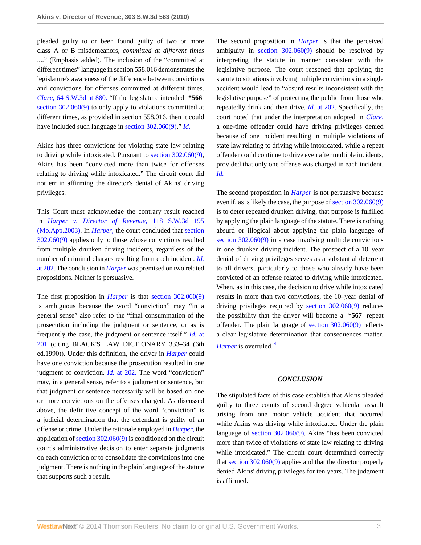pleaded guilty to or been found guilty of two or more class A or B misdemeanors, *committed at different times* ...." (Emphasis added). The inclusion of the "committed at different times" language in section 558.016 demonstrates the legislature's awareness of the difference between convictions and convictions for offenses committed at different times. *Clare,* [64 S.W.3d at 880.](http://www.westlaw.com/Link/Document/FullText?findType=Y&serNum=2002067288&pubNum=4644&fi=co_pp_sp_4644_880&originationContext=document&vr=3.0&rs=cblt1.0&transitionType=DocumentItem&contextData=(sc.Search)#co_pp_sp_4644_880) "If the legislature intended **\*566** [section 302.060\(9\)](http://www.westlaw.com/Link/Document/FullText?findType=L&pubNum=1000229&cite=MOST302.060&originatingDoc=I68d62f88212811df8bf6cd8525c41437&refType=LQ&originationContext=document&vr=3.0&rs=cblt1.0&transitionType=DocumentItem&contextData=(sc.Search)) to only apply to violations committed at different times, as provided in section 558.016, then it could have included such language in [section 302.060\(9\)](http://www.westlaw.com/Link/Document/FullText?findType=L&pubNum=1000229&cite=MOST302.060&originatingDoc=I68d62f88212811df8bf6cd8525c41437&refType=LQ&originationContext=document&vr=3.0&rs=cblt1.0&transitionType=DocumentItem&contextData=(sc.Search))." *[Id.](http://www.westlaw.com/Link/Document/FullText?findType=Y&serNum=2002067288&originationContext=document&vr=3.0&rs=cblt1.0&transitionType=DocumentItem&contextData=(sc.Search))*

Akins has three convictions for violating state law relating to driving while intoxicated. Pursuant to [section 302.060\(9\)](http://www.westlaw.com/Link/Document/FullText?findType=L&pubNum=1000229&cite=MOST302.060&originatingDoc=I68d62f88212811df8bf6cd8525c41437&refType=LQ&originationContext=document&vr=3.0&rs=cblt1.0&transitionType=DocumentItem&contextData=(sc.Search)), Akins has been "convicted more than twice for offenses relating to driving while intoxicated." The circuit court did not err in affirming the director's denial of Akins' driving privileges.

This Court must acknowledge the contrary result reached in *[Harper v. Director of Revenue,](http://www.westlaw.com/Link/Document/FullText?findType=Y&serNum=2003598237&pubNum=4644&originationContext=document&vr=3.0&rs=cblt1.0&transitionType=DocumentItem&contextData=(sc.Search))* 118 S.W.3d 195 [\(Mo.App.2003\).](http://www.westlaw.com/Link/Document/FullText?findType=Y&serNum=2003598237&pubNum=4644&originationContext=document&vr=3.0&rs=cblt1.0&transitionType=DocumentItem&contextData=(sc.Search)) In *[Harper,](http://www.westlaw.com/Link/Document/FullText?findType=Y&serNum=2003598237&originationContext=document&vr=3.0&rs=cblt1.0&transitionType=DocumentItem&contextData=(sc.Search))* the court concluded that [section](http://www.westlaw.com/Link/Document/FullText?findType=L&pubNum=1000229&cite=MOST302.060&originatingDoc=I68d62f88212811df8bf6cd8525c41437&refType=LQ&originationContext=document&vr=3.0&rs=cblt1.0&transitionType=DocumentItem&contextData=(sc.Search)) [302.060\(9\)](http://www.westlaw.com/Link/Document/FullText?findType=L&pubNum=1000229&cite=MOST302.060&originatingDoc=I68d62f88212811df8bf6cd8525c41437&refType=LQ&originationContext=document&vr=3.0&rs=cblt1.0&transitionType=DocumentItem&contextData=(sc.Search)) applies only to those whose convictions resulted from multiple drunken driving incidents, regardless of the number of criminal charges resulting from each incident. *[Id.](http://www.westlaw.com/Link/Document/FullText?findType=Y&serNum=2003598237&originationContext=document&vr=3.0&rs=cblt1.0&transitionType=DocumentItem&contextData=(sc.Search))* [at 202.](http://www.westlaw.com/Link/Document/FullText?findType=Y&serNum=2003598237&originationContext=document&vr=3.0&rs=cblt1.0&transitionType=DocumentItem&contextData=(sc.Search)) The conclusion in *[Harper](http://www.westlaw.com/Link/Document/FullText?findType=Y&serNum=2003598237&originationContext=document&vr=3.0&rs=cblt1.0&transitionType=DocumentItem&contextData=(sc.Search))* was premised on two related propositions. Neither is persuasive.

The first proposition in *[Harper](http://www.westlaw.com/Link/Document/FullText?findType=Y&serNum=2003598237&originationContext=document&vr=3.0&rs=cblt1.0&transitionType=DocumentItem&contextData=(sc.Search))* is that [section 302.060\(9\)](http://www.westlaw.com/Link/Document/FullText?findType=L&pubNum=1000229&cite=MOST302.060&originatingDoc=I68d62f88212811df8bf6cd8525c41437&refType=LQ&originationContext=document&vr=3.0&rs=cblt1.0&transitionType=DocumentItem&contextData=(sc.Search)) is ambiguous because the word "conviction" may "in a general sense" also refer to the "final consummation of the prosecution including the judgment or sentence, or as is frequently the case, the judgment or sentence itself." *[Id.](http://www.westlaw.com/Link/Document/FullText?findType=Y&serNum=2003598237&originationContext=document&vr=3.0&rs=cblt1.0&transitionType=DocumentItem&contextData=(sc.Search))* at [201](http://www.westlaw.com/Link/Document/FullText?findType=Y&serNum=2003598237&originationContext=document&vr=3.0&rs=cblt1.0&transitionType=DocumentItem&contextData=(sc.Search)) (citing BLACK'S LAW DICTIONARY 333–34 (6th ed.1990)). Under this definition, the driver in *[Harper](http://www.westlaw.com/Link/Document/FullText?findType=Y&serNum=2003598237&originationContext=document&vr=3.0&rs=cblt1.0&transitionType=DocumentItem&contextData=(sc.Search))* could have one conviction because the prosecution resulted in one judgment of conviction. *Id.* [at 202.](http://www.westlaw.com/Link/Document/FullText?findType=Y&serNum=2003598237&originationContext=document&vr=3.0&rs=cblt1.0&transitionType=DocumentItem&contextData=(sc.Search)) The word "conviction" may, in a general sense, refer to a judgment or sentence, but that judgment or sentence necessarily will be based on one or more convictions on the offenses charged. As discussed above, the definitive concept of the word "conviction" is a judicial determination that the defendant is guilty of an offense or crime. Under the rationale employed in *[Harper,](http://www.westlaw.com/Link/Document/FullText?findType=Y&serNum=2003598237&originationContext=document&vr=3.0&rs=cblt1.0&transitionType=DocumentItem&contextData=(sc.Search))* the application of [section 302.060\(9\)](http://www.westlaw.com/Link/Document/FullText?findType=L&pubNum=1000229&cite=MOST302.060&originatingDoc=I68d62f88212811df8bf6cd8525c41437&refType=LQ&originationContext=document&vr=3.0&rs=cblt1.0&transitionType=DocumentItem&contextData=(sc.Search)) is conditioned on the circuit court's administrative decision to enter separate judgments on each conviction or to consolidate the convictions into one judgment. There is nothing in the plain language of the statute that supports such a result.

The second proposition in *[Harper](http://www.westlaw.com/Link/Document/FullText?findType=Y&serNum=2003598237&originationContext=document&vr=3.0&rs=cblt1.0&transitionType=DocumentItem&contextData=(sc.Search))* is that the perceived ambiguity in [section 302.060\(9\)](http://www.westlaw.com/Link/Document/FullText?findType=L&pubNum=1000229&cite=MOST302.060&originatingDoc=I68d62f88212811df8bf6cd8525c41437&refType=LQ&originationContext=document&vr=3.0&rs=cblt1.0&transitionType=DocumentItem&contextData=(sc.Search)) should be resolved by interpreting the statute in manner consistent with the legislative purpose. The court reasoned that applying the statute to situations involving multiple convictions in a single accident would lead to "absurd results inconsistent with the legislative purpose" of protecting the public from those who repeatedly drink and then drive. *Id.* [at 202.](http://www.westlaw.com/Link/Document/FullText?findType=Y&serNum=2003598237&originationContext=document&vr=3.0&rs=cblt1.0&transitionType=DocumentItem&contextData=(sc.Search)) Specifically, the court noted that under the interpretation adopted in *[Clare,](http://www.westlaw.com/Link/Document/FullText?findType=Y&serNum=2002067288&originationContext=document&vr=3.0&rs=cblt1.0&transitionType=DocumentItem&contextData=(sc.Search))* a one-time offender could have driving privileges denied because of one incident resulting in multiple violations of state law relating to driving while intoxicated, while a repeat offender could continue to drive even after multiple incidents, provided that only one offense was charged in each incident. *[Id.](http://www.westlaw.com/Link/Document/FullText?findType=Y&serNum=2003598237&originationContext=document&vr=3.0&rs=cblt1.0&transitionType=DocumentItem&contextData=(sc.Search))*

The second proposition in *[Harper](http://www.westlaw.com/Link/Document/FullText?findType=Y&serNum=2003598237&originationContext=document&vr=3.0&rs=cblt1.0&transitionType=DocumentItem&contextData=(sc.Search))* is not persuasive because even if, as is likely the case, the purpose of [section 302.060\(9\)](http://www.westlaw.com/Link/Document/FullText?findType=L&pubNum=1000229&cite=MOST302.060&originatingDoc=I68d62f88212811df8bf6cd8525c41437&refType=LQ&originationContext=document&vr=3.0&rs=cblt1.0&transitionType=DocumentItem&contextData=(sc.Search)) is to deter repeated drunken driving, that purpose is fulfilled by applying the plain language of the statute. There is nothing absurd or illogical about applying the plain language of [section 302.060\(9\)](http://www.westlaw.com/Link/Document/FullText?findType=L&pubNum=1000229&cite=MOST302.060&originatingDoc=I68d62f88212811df8bf6cd8525c41437&refType=LQ&originationContext=document&vr=3.0&rs=cblt1.0&transitionType=DocumentItem&contextData=(sc.Search)) in a case involving multiple convictions in one drunken driving incident. The prospect of a 10–year denial of driving privileges serves as a substantial deterrent to all drivers, particularly to those who already have been convicted of an offense related to driving while intoxicated. When, as in this case, the decision to drive while intoxicated results in more than two convictions, the 10–year denial of driving privileges required by [section 302.060\(9\)](http://www.westlaw.com/Link/Document/FullText?findType=L&pubNum=1000229&cite=MOST302.060&originatingDoc=I68d62f88212811df8bf6cd8525c41437&refType=LQ&originationContext=document&vr=3.0&rs=cblt1.0&transitionType=DocumentItem&contextData=(sc.Search)) reduces the possibility that the driver will become a **\*567** repeat offender. The plain language of [section 302.060\(9\)](http://www.westlaw.com/Link/Document/FullText?findType=L&pubNum=1000229&cite=MOST302.060&originatingDoc=I68d62f88212811df8bf6cd8525c41437&refType=LQ&originationContext=document&vr=3.0&rs=cblt1.0&transitionType=DocumentItem&contextData=(sc.Search)) reflects a clear legislative determination that consequences matter. *[Harper](http://www.westlaw.com/Link/Document/FullText?findType=Y&serNum=2003598237&originationContext=document&vr=3.0&rs=cblt1.0&transitionType=DocumentItem&contextData=(sc.Search))* is overruled.<sup>[4](#page-3-3)</sup>

### <span id="page-2-0"></span>*CONCLUSION*

The stipulated facts of this case establish that Akins pleaded guilty to three counts of second degree vehicular assault arising from one motor vehicle accident that occurred while Akins was driving while intoxicated. Under the plain language of [section 302.060\(9\)](http://www.westlaw.com/Link/Document/FullText?findType=L&pubNum=1000229&cite=MOST302.060&originatingDoc=I68d62f88212811df8bf6cd8525c41437&refType=LQ&originationContext=document&vr=3.0&rs=cblt1.0&transitionType=DocumentItem&contextData=(sc.Search)), Akins "has been convicted more than twice of violations of state law relating to driving while intoxicated." The circuit court determined correctly that [section 302.060\(9\)](http://www.westlaw.com/Link/Document/FullText?findType=L&pubNum=1000229&cite=MOST302.060&originatingDoc=I68d62f88212811df8bf6cd8525c41437&refType=LQ&originationContext=document&vr=3.0&rs=cblt1.0&transitionType=DocumentItem&contextData=(sc.Search)) applies and that the director properly denied Akins' driving privileges for ten years. The judgment is affirmed.